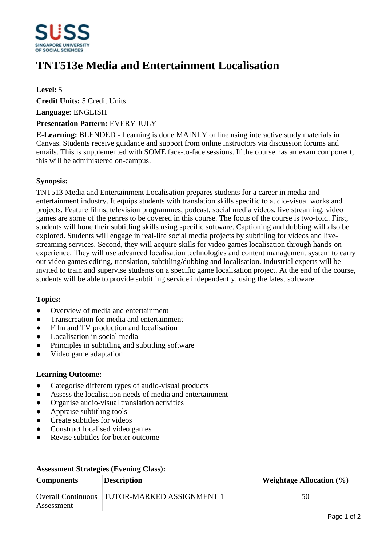

# **TNT513e Media and Entertainment Localisation**

## **Level:** 5

**Credit Units:** 5 Credit Units

**Language:** ENGLISH

### **Presentation Pattern:** EVERY JULY

**E-Learning:** BLENDED - Learning is done MAINLY online using interactive study materials in Canvas. Students receive guidance and support from online instructors via discussion forums and emails. This is supplemented with SOME face-to-face sessions. If the course has an exam component, this will be administered on-campus.

### **Synopsis:**

TNT513 Media and Entertainment Localisation prepares students for a career in media and entertainment industry. It equips students with translation skills specific to audio-visual works and projects. Feature films, television programmes, podcast, social media videos, live streaming, video games are some of the genres to be covered in this course. The focus of the course is two-fold. First, students will hone their subtitling skills using specific software. Captioning and dubbing will also be explored. Students will engage in real-life social media projects by subtitling for videos and livestreaming services. Second, they will acquire skills for video games localisation through hands-on experience. They will use advanced localisation technologies and content management system to carry out video games editing, translation, subtitling/dubbing and localisation. Industrial experts will be invited to train and supervise students on a specific game localisation project. At the end of the course, students will be able to provide subtitling service independently, using the latest software.

## **Topics:**

- Overview of media and entertainment
- Transcreation for media and entertainment
- Film and TV production and localisation
- ƔLocalisation in social media
- Principles in subtitling and subtitling software
- ƔVideo game adaptation

## **Learning Outcome:**

- Categorise different types of audio-visual products
- Assess the localisation needs of media and entertainment
- ƔOrganise audio-visual translation activities
- Appraise subtitling tools
- Create subtitles for videos
- ƔConstruct localised video games
- ƔRevise subtitles for better outcome

| <b>Components</b> | <b>Description</b>                           | Weightage Allocation $(\% )$ |
|-------------------|----------------------------------------------|------------------------------|
| Assessment        | Overall Continuous TUTOR-MARKED ASSIGNMENT 1 | 50                           |

#### **Assessment Strategies (Evening Class):**